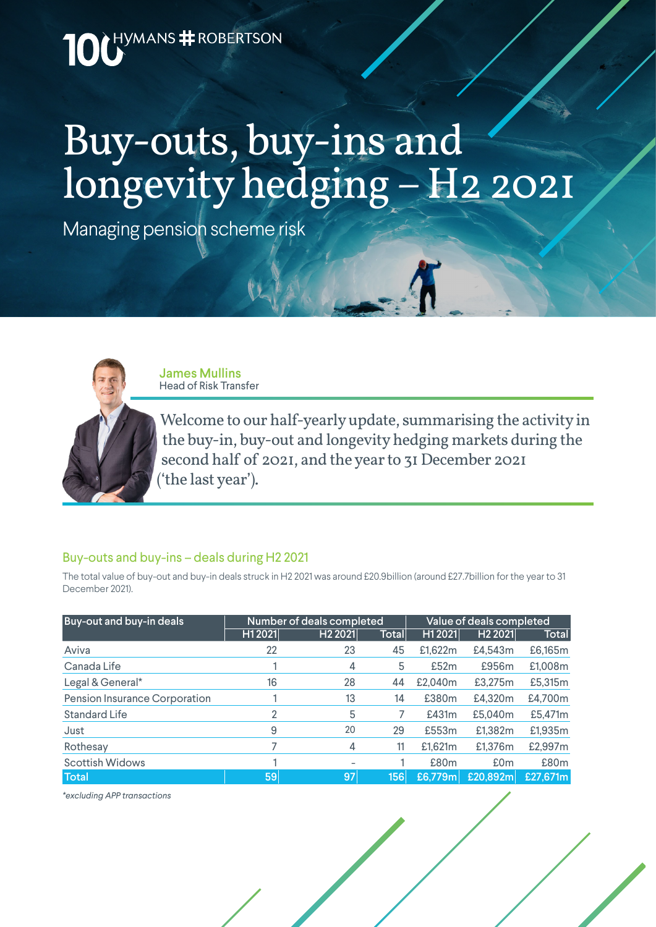

# Buy-outs, buy-ins and longevity hedging – H2 2021

Managing pension scheme risk



James Mullins Head of Risk Transfer

Welcome to our half-yearly update, summarising the activity in the buy-in, buy-out and longevity hedging markets during the second half of 2021, and the year to 31 December 2021 ('the last year').

#### Buy-outs and buy-ins – deals during H2 2021

The total value of buy-out and buy-in deals struck in H2 2021 was around £20.9billion (around £27.7billion for the year to 31 December 2021).

| Buy-out and buy-in deals      | Number of deals completed |                     |              | Value of deals completed |                     |                  |
|-------------------------------|---------------------------|---------------------|--------------|--------------------------|---------------------|------------------|
|                               | H1 2021                   | H <sub>2</sub> 2021 | <b>Total</b> | H12021                   | H <sub>2</sub> 2021 | Total            |
| Aviva                         | 22                        | 23                  | 45           | £1,622m                  | £4,543m             | £6,165m          |
| Canada Life                   |                           | 4                   | 5            | £52m                     | £956m               | £1,008m          |
| Legal & General*              | 16                        | 28                  | 44           | £2.040m                  | £3,275m             | £5,315m          |
| Pension Insurance Corporation |                           | 13                  | 14           | £380m                    | £4,320m             | £4,700m          |
| Standard Life                 | 2                         | 5                   |              | £431m                    | £5,040m             | £5,471m          |
| Just                          | 9                         | 20                  | 29           | £553m                    | £1,382m             | £1,935m          |
| Rothesay                      |                           | 4                   | 11           | £1,621m                  | £1,376m             | £2,997m          |
| <b>Scottish Widows</b>        |                           |                     |              | £80m                     | £0 <sub>m</sub>     | £80 <sub>m</sub> |
| <b>Total</b>                  | 59                        | 97                  | 156          | £6,779m                  | £20,892m            | £27,671m         |

*\*excluding APP transactions*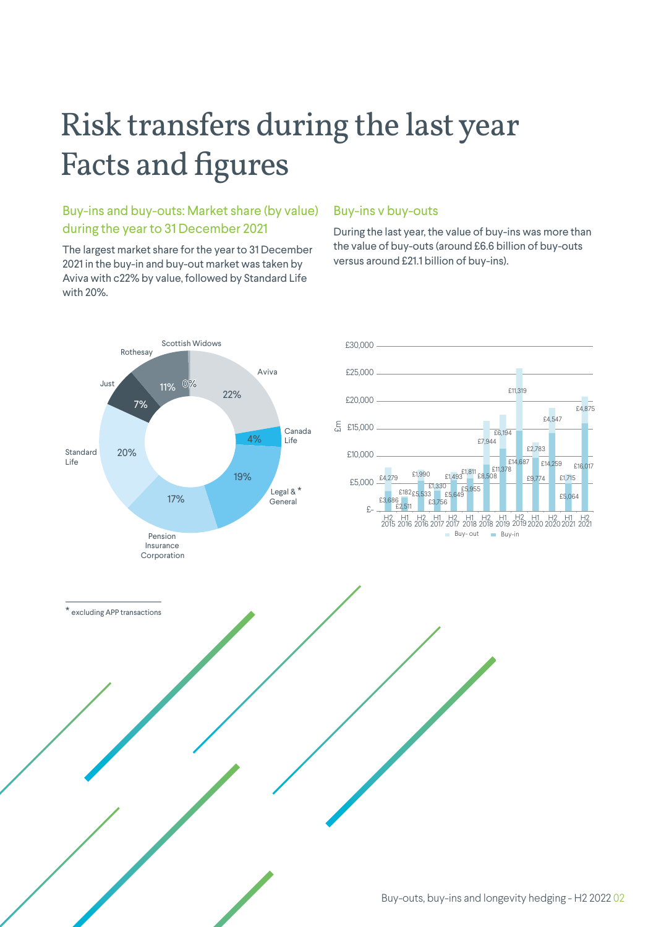## Risk transfers during the last year Facts and figures

## Buy-ins and buy-outs: Market share (by value) during the year to 31 December 2021

The largest market share for the year to 31 December 2021 in the buy-in and buy-out market was taken by Aviva with c22% by value, followed by Standard Life with 20%.

#### Buy-ins v buy-outs

During the last year, the value of buy-ins was more than the value of buy-outs (around £6.6 billion of buy-outs versus around £21.1 billion of buy-ins).

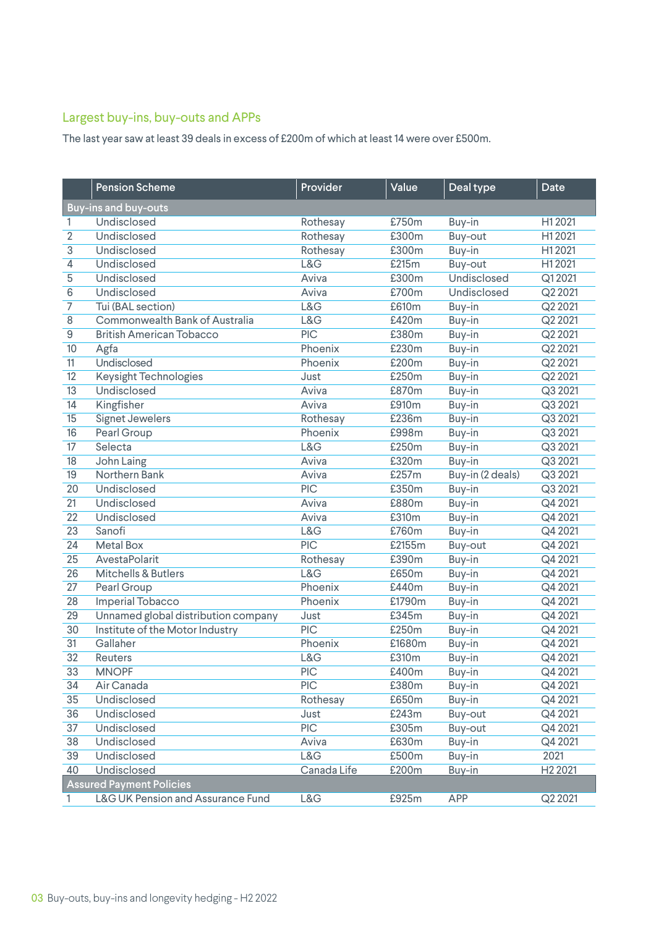## Largest buy-ins, buy-outs and APPs

The last year saw at least 39 deals in excess of £200m of which at least 14 were over £500m.

|                                 | <b>Pension Scheme</b>                        | Provider    | Value  | Deal type        | Date                |  |  |  |
|---------------------------------|----------------------------------------------|-------------|--------|------------------|---------------------|--|--|--|
|                                 | <b>Buy-ins and buy-outs</b>                  |             |        |                  |                     |  |  |  |
| 1.                              | Undisclosed                                  | Rothesay    | £750m  | Buy-in           | H12021              |  |  |  |
| $\overline{2}$                  | Undisclosed                                  | Rothesay    | £300m  | Buy-out          | H12021              |  |  |  |
| 3                               | Undisclosed                                  | Rothesay    | £300m  | Buy-in           | H12021              |  |  |  |
| 4                               | Undisclosed                                  | L&G         | £215m  | Buy-out          | H12021              |  |  |  |
| 5                               | Undisclosed                                  | Aviva       | £300m  | Undisclosed      | Q12021              |  |  |  |
| 6                               | Undisclosed                                  | Aviva       | £700m  | Undisclosed      | Q2 2021             |  |  |  |
| 7                               | Tui (BAL section)                            | L&G         | £610m  | Buy-in           | Q2 2021             |  |  |  |
| 8                               | Commonwealth Bank of Australia               | L&G         | £420m  | Buy-in           | Q2 2021             |  |  |  |
| 9                               | <b>British American Tobacco</b>              | <b>PIC</b>  | £380m  | Buy-in           | Q2 2021             |  |  |  |
| 10                              | Agfa                                         | Phoenix     | £230m  | Buy-in           | Q2 2021             |  |  |  |
| 11                              | <b>Undisclosed</b>                           | Phoenix     | £200m  | Buy-in           | Q2 2021             |  |  |  |
| 12                              | <b>Keysight Technologies</b>                 | Just        | £250m  | Buy-in           | Q2 2021             |  |  |  |
| 13                              | Undisclosed                                  | Aviva       | £870m  | Buy-in           | Q3 2021             |  |  |  |
| 14                              | Kingfisher                                   | Aviva       | £910m  | Buy-in           | Q3 2021             |  |  |  |
| 15                              | <b>Signet Jewelers</b>                       | Rothesay    | £236m  | Buy-in           | Q3 2021             |  |  |  |
| 16                              | Pearl Group                                  | Phoenix     | £998m  | Buy-in           | Q3 2021             |  |  |  |
| 17                              | Selecta                                      | L&G         | £250m  | Buy-in           | Q3 2021             |  |  |  |
| 18                              | John Laing                                   | Aviva       | £320m  | Buy-in           | Q3 2021             |  |  |  |
| 19                              | Northern Bank                                | Aviva       | £257m  | Buy-in (2 deals) | Q3 2021             |  |  |  |
| 20                              | Undisclosed                                  | <b>PIC</b>  | £350m  | Buy-in           | Q3 2021             |  |  |  |
| $\overline{21}$                 | Undisclosed                                  | Aviva       | £880m  | Buy-in           | Q4 2021             |  |  |  |
| $\overline{22}$                 | Undisclosed                                  | Aviva       | £310m  | Buy-in           | Q4 2021             |  |  |  |
| 23                              | Sanofi                                       | L&G         | £760m  | Buy-in           | Q4 2021             |  |  |  |
| 24                              | <b>Metal Box</b>                             | <b>PIC</b>  | £2155m | Buy-out          | Q4 2021             |  |  |  |
| 25                              | AvestaPolarit                                | Rothesay    | £390m  | Buy-in           | Q4 2021             |  |  |  |
| 26                              | <b>Mitchells &amp; Butlers</b>               | L&G         | £650m  | Buy-in           | Q4 2021             |  |  |  |
| 27                              | Pearl Group                                  | Phoenix     | £440m  | Buy-in           | Q4 2021             |  |  |  |
| 28                              | Imperial Tobacco                             | Phoenix     | £1790m | Buy-in           | Q4 2021             |  |  |  |
| 29                              | Unnamed global distribution company          | Just        | £345m  | Buy-in           | Q4 2021             |  |  |  |
| 30                              | Institute of the Motor Industry              | PIC         | £250m  | Buy-in           | Q4 2021             |  |  |  |
| 31                              | Gallaher                                     | Phoenix     | £1680m | Buy-in           | Q4 2021             |  |  |  |
| 32                              | Reuters                                      | L&G         | £310m  | Buy-in           | Q4 2021             |  |  |  |
| 33                              | <b>MNOPF</b>                                 | <b>PIC</b>  | £400m  | Buy-in           | Q4 2021             |  |  |  |
| 34                              | Air Canada                                   | PIC         | £380m  | Buy-in           | Q4 2021             |  |  |  |
| 35                              | Undisclosed                                  | Rothesay    | £650m  | Buy-in           | Q4 2021             |  |  |  |
| 36                              | Undisclosed                                  | Just        | £243m  | Buy-out          | Q4 2021             |  |  |  |
| 37                              | <b>Undisclosed</b>                           | PIC         | £305m  | Buy-out          | Q4 2021             |  |  |  |
| 38                              | Undisclosed                                  | Aviva       | £630m  | Buy-in           | Q4 2021             |  |  |  |
| 39                              | Undisclosed                                  | L&G         | £500m  | Buy-in           | 2021                |  |  |  |
| 40                              | Undisclosed                                  | Canada Life | £200m  | Buy-in           | H <sub>2</sub> 2021 |  |  |  |
| <b>Assured Payment Policies</b> |                                              |             |        |                  |                     |  |  |  |
| 1.                              | <b>L&amp;G UK Pension and Assurance Fund</b> | L&G         | £925m  | <b>APP</b>       | Q2 2021             |  |  |  |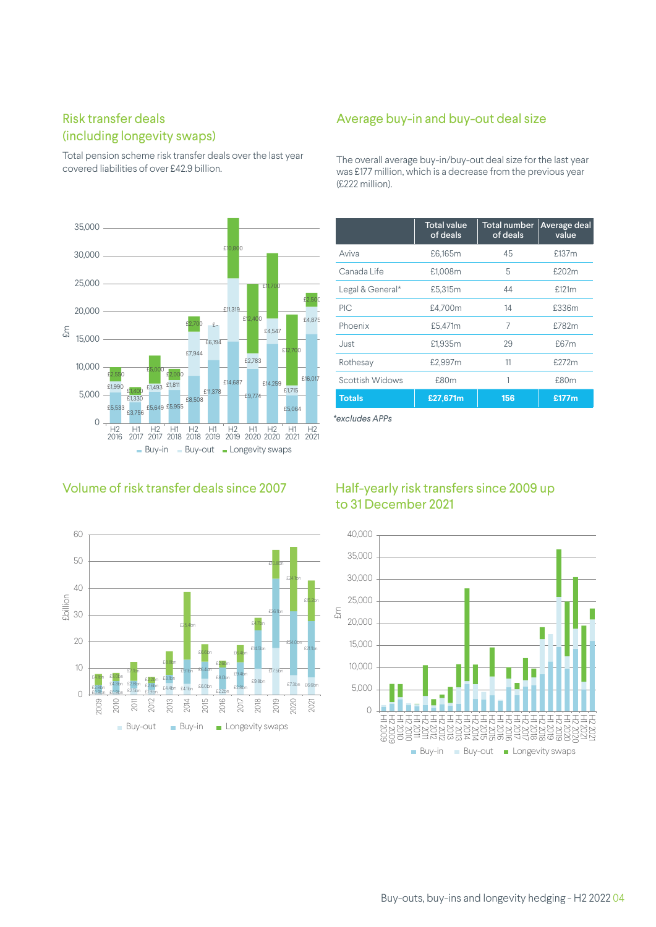## Risk transfer deals (including longevity swaps)

Total pension scheme risk transfer deals over the last year covered liabilities of over £42.9 billion.



## Volume of risk transfer deals since 2007



## Average buy-in and buy-out deal size

The overall average buy-in/buy-out deal size for the last year was £177 million, which is a decrease from the previous year (£222 million).

|                  | <b>Total value</b><br>of deals | <b>Total number</b><br>of deals | Average deal<br>value |
|------------------|--------------------------------|---------------------------------|-----------------------|
| Aviva            | £6,165m                        | 45                              | £137m                 |
| Canada Life      | £1,008m                        | 5                               | £202m                 |
| Legal & General* | £5,315m                        | 44                              | £121m                 |
| PIC              | £4,700m                        | 14                              | £336m                 |
| Phoenix          | £5,471m                        | 7                               | £782m                 |
| Just             | £1,935m                        | 29                              | £67m                  |
| Rothesay         | £2,997m                        | 11                              | £272m                 |
| Scottish Widows  | £80m                           | 1                               | £80m                  |
| <b>Totals</b>    | £27,671m                       | 156                             | £177m                 |

*\*excludes APPs*

## Half-yearly risk transfers since 2009 up to 31 December 2021

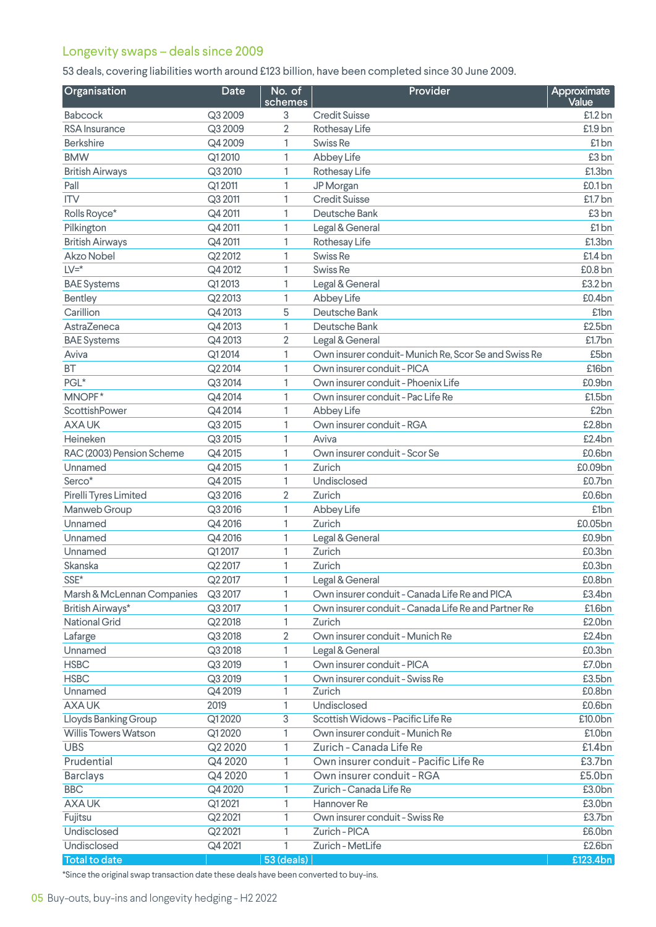## Longevity swaps – deals since 2009

53 deals, covering liabilities worth around £123 billion, have been completed since 30 June 2009.

| Organisation                               | <b>Date</b> | No. of<br>schemes | Provider                                            | Approximate<br>Value |
|--------------------------------------------|-------------|-------------------|-----------------------------------------------------|----------------------|
| Babcock                                    | Q3 2009     | 3                 | <b>Credit Suisse</b>                                | £1.2 bn              |
| <b>RSA</b> Insurance                       | Q3 2009     | 2                 | Rothesay Life                                       | £1.9 bn              |
| <b>Berkshire</b>                           | Q4 2009     | 1                 | Swiss Re                                            | £1 <sub>bn</sub>     |
| <b>BMW</b>                                 | Q12010      | 1                 | Abbey Life                                          | £3 <sub>bn</sub>     |
| <b>British Airways</b>                     | Q3 2010     | 1                 | Rothesay Life                                       | £1.3bn               |
| Pall                                       | Q12011      | 1                 | JP Morgan                                           | £0.1bn               |
| <b>ITV</b>                                 | Q3 2011     | 1                 | <b>Credit Suisse</b>                                | £1.7 bn              |
| Rolls Royce*                               | Q4 2011     | 1                 | Deutsche Bank                                       | £3 <sub>bn</sub>     |
| Pilkington                                 | Q4 2011     | 1                 | Legal & General                                     | £1 <sub>bn</sub>     |
| <b>British Airways</b>                     | Q4 2011     | 1                 | Rothesay Life                                       | £1.3bn               |
| Akzo Nobel                                 | Q2 2012     | 1                 | Swiss <sub>Re</sub>                                 | £1.4 bn              |
| $LV = *$                                   | Q4 2012     | 1                 | Swiss Re                                            | £0.8 bn              |
| <b>BAE Systems</b>                         | Q12013      | 1                 | Legal & General                                     | £3.2 bn              |
| Bentley                                    | Q2 2013     | 1                 | Abbey Life                                          | £0.4bn               |
| Carillion                                  | Q4 2013     | 5                 | Deutsche Bank                                       | £1bn                 |
| AstraZeneca                                | Q4 2013     | 1                 | Deutsche Bank                                       | £2.5bn               |
| <b>BAE Systems</b>                         | Q4 2013     | 2                 | Legal & General                                     | £1.7bn               |
| Aviva                                      | Q12014      | 1                 | Own insurer conduit-Munich Re, Scor Se and Swiss Re | £5bn                 |
| <b>BT</b>                                  | Q2 2014     | 1                 | Own insurer conduit - PICA                          | £16bn                |
| PGL*                                       | Q3 2014     | 1                 | Own insurer conduit - Phoenix Life                  | £0.9bn               |
| MNOPF*                                     | Q4 2014     | 1                 | Own insurer conduit - Pac Life Re                   | £1.5bn               |
| ScottishPower                              | Q4 2014     | 1                 | Abbey Life                                          | £2bn                 |
| <b>AXAUK</b>                               | Q3 2015     | 1                 | Own insurer conduit - RGA                           | £2.8bn               |
| Heineken                                   | Q3 2015     | 1                 | Aviva                                               | £2.4bn               |
| RAC (2003) Pension Scheme                  | Q4 2015     | 1                 | Own insurer conduit - Scor Se                       | £0.6bn               |
| Unnamed                                    | Q4 2015     | 1                 | Zurich                                              | £0.09bn              |
| Serco*                                     | Q4 2015     | 1                 | Undisclosed                                         | £0.7bn               |
| Pirelli Tyres Limited                      | Q3 2016     | 2                 | Zurich                                              | £0.6bn               |
| Manweb Group                               | Q3 2016     | 1                 | Abbey Life                                          | £1bn                 |
| Unnamed                                    | Q4 2016     | 1                 | Zurich                                              | £0.05bn              |
| Unnamed                                    | Q4 2016     | 1                 | Legal & General                                     | £0.9bn               |
| Unnamed                                    | Q12017      | 1                 | Zurich                                              | £0.3bn               |
| Skanska                                    | Q2 2017     | 1                 | Zurich                                              | £0.3bn               |
| $\ensuremath{\mathsf{SSE}^{\star}}\xspace$ | Q2 2017     | 1                 | Legal & General                                     | £0.8bn               |
| Marsh & McLennan Companies                 | Q3 2017     | 1                 | Own insurer conduit - Canada Life Re and PICA       | £3.4bn               |
| British Airways*                           | Q3 2017     | 1                 | Own insurer conduit - Canada Life Re and Partner Re | £1.6bn               |
| <b>National Grid</b>                       | Q2 2018     | 1                 | Zurich                                              | £2.0bn               |
| Lafarge                                    | Q3 2018     | 2                 | Own insurer conduit - Munich Re                     | £2.4bn               |
| Unnamed                                    | Q3 2018     | 1                 | Legal & General                                     | £0.3bn               |
| <b>HSBC</b>                                | Q3 2019     | 1                 | Own insurer conduit - PICA                          | £7.0bn               |
| <b>HSBC</b>                                | Q3 2019     | 1                 | Own insurer conduit - Swiss Re                      | £3.5bn               |
| Unnamed                                    | Q4 2019     | 1                 | Zurich                                              | £0.8bn               |
| <b>AXAUK</b>                               | 2019        | 1                 | Undisclosed                                         | £0.6bn               |
| Lloyds Banking Group                       | Q12020      | 3                 | Scottish Widows - Pacific Life Re                   | £10.0bn              |
| <b>Willis Towers Watson</b>                | Q12020      | 1                 | Own insurer conduit - Munich Re                     | £1.0bn               |
| <b>UBS</b>                                 | Q2 2020     | 1                 | Zurich - Canada Life Re                             | £1.4bn               |
| Prudential                                 | Q4 2020     | 1                 | Own insurer conduit - Pacific Life Re               | £3.7bn               |
| <b>Barclays</b>                            | Q4 2020     | 1                 | Own insurer conduit - RGA                           | £5.0bn               |
| <b>BBC</b>                                 | Q4 2020     | 1                 | Zurich - Canada Life Re                             | £3.0bn               |
| <b>AXAUK</b>                               | Q12021      | 1                 | Hannover Re                                         | £3.0bn               |
| Fujitsu                                    | Q2 2021     | 1                 | Own insurer conduit - Swiss Re                      | £3.7bn               |
| Undisclosed                                | Q2 2021     | 1                 | Zurich - PICA                                       | £6.0bn               |
| Undisclosed                                | Q4 2021     | 1                 | Zurich - MetLife                                    | £2.6bn               |
| <b>Total to date</b>                       |             | <b>53 (deals)</b> |                                                     | £123.4bn             |

\*Since the original swap transaction date these deals have been converted to buy-ins.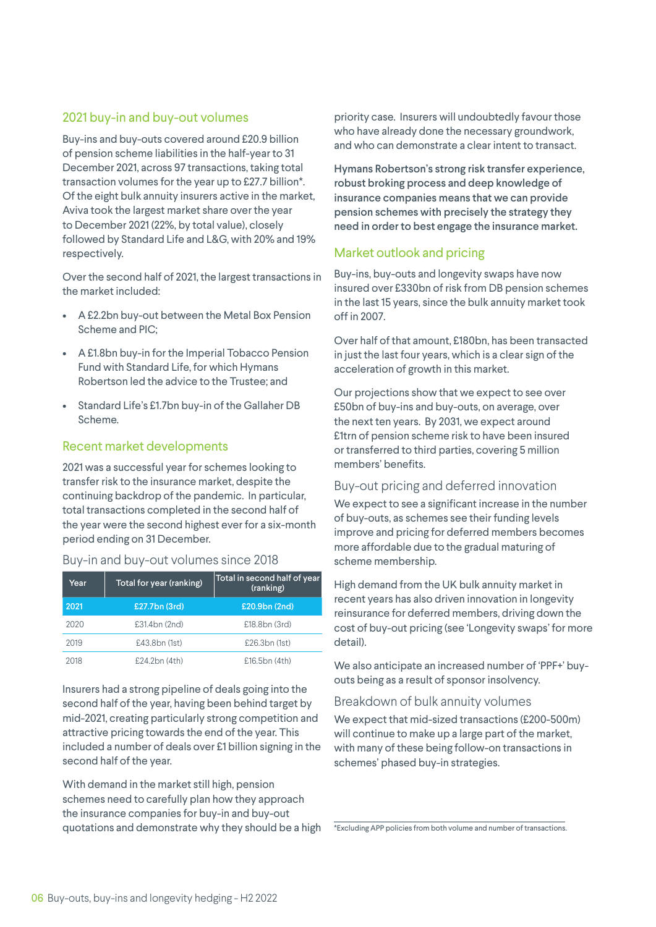#### 2021 buy-in and buy-out volumes

Buy-ins and buy-outs covered around £20.9 billion of pension scheme liabilities in the half-year to 31 December 2021, across 97 transactions, taking total transaction volumes for the year up to £27.7 billion\*. Of the eight bulk annuity insurers active in the market, Aviva took the largest market share over the year to December 2021 (22%, by total value), closely followed by Standard Life and L&G, with 20% and 19% respectively.

Over the second half of 2021, the largest transactions in the market included:

- A £2.2bn buy-out between the Metal Box Pension Scheme and PIC;
- A £1.8bn buy-in for the Imperial Tobacco Pension Fund with Standard Life, for which Hymans Robertson led the advice to the Trustee; and
- Standard Life's £1.7bn buy-in of the Gallaher DB Scheme.

#### Recent market developments

2021 was a successful year for schemes looking to transfer risk to the insurance market, despite the continuing backdrop of the pandemic. In particular, total transactions completed in the second half of the year were the second highest ever for a six-month period ending on 31 December.

#### Buy-in and buy-out volumes since 2018

| Year | Total for year (ranking) | Total in second half of year<br>(ranking) |
|------|--------------------------|-------------------------------------------|
| 2021 | £27.7bn (3rd)            | £20.9bn (2nd)                             |
| 2020 | £31.4bn (2nd)            | £18.8bn (3rd)                             |
| 2019 | £43.8bn (1st)            | £26.3bn (1st)                             |
| 2018 | £24.2bn (4th)            | £16.5bn(4th)                              |

Insurers had a strong pipeline of deals going into the second half of the year, having been behind target by mid-2021, creating particularly strong competition and attractive pricing towards the end of the year. This included a number of deals over £1 billion signing in the second half of the year.

With demand in the market still high, pension schemes need to carefully plan how they approach the insurance companies for buy-in and buy-out quotations and demonstrate why they should be a high priority case. Insurers will undoubtedly favour those who have already done the necessary groundwork, and who can demonstrate a clear intent to transact.

Hymans Robertson's strong risk transfer experience, robust broking process and deep knowledge of insurance companies means that we can provide pension schemes with precisely the strategy they need in order to best engage the insurance market.

#### Market outlook and pricing

Buy-ins, buy-outs and longevity swaps have now insured over £330bn of risk from DB pension schemes in the last 15 years, since the bulk annuity market took off in 2007.

Over half of that amount, £180bn, has been transacted in just the last four years, which is a clear sign of the acceleration of growth in this market.

Our projections show that we expect to see over £50bn of buy-ins and buy-outs, on average, over the next ten years. By 2031, we expect around £1trn of pension scheme risk to have been insured or transferred to third parties, covering 5 million members' benefits.

#### Buy-out pricing and deferred innovation

We expect to see a significant increase in the number of buy-outs, as schemes see their funding levels improve and pricing for deferred members becomes more affordable due to the gradual maturing of scheme membership.

High demand from the UK bulk annuity market in recent years has also driven innovation in longevity reinsurance for deferred members, driving down the cost of buy-out pricing (see 'Longevity swaps' for more detail).

We also anticipate an increased number of 'PPF+' buyouts being as a result of sponsor insolvency.

#### Breakdown of bulk annuity volumes

We expect that mid-sized transactions (£200-500m) will continue to make up a large part of the market, with many of these being follow-on transactions in schemes' phased buy-in strategies.

\*Excluding APP policies from both volume and number of transactions.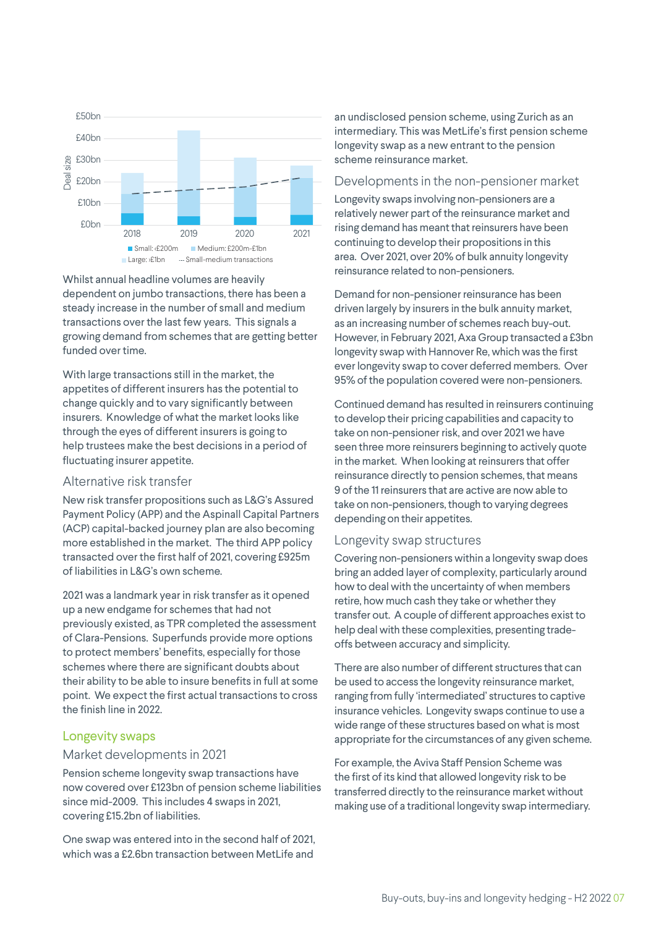

Whilst annual headline volumes are heavily dependent on jumbo transactions, there has been a steady increase in the number of small and medium transactions over the last few years. This signals a growing demand from schemes that are getting better funded over time.

With large transactions still in the market, the appetites of different insurers has the potential to change quickly and to vary significantly between insurers. Knowledge of what the market looks like through the eyes of different insurers is going to help trustees make the best decisions in a period of fluctuating insurer appetite.

#### Alternative risk transfer

New risk transfer propositions such as L&G's Assured Payment Policy (APP) and the Aspinall Capital Partners (ACP) capital-backed journey plan are also becoming more established in the market. The third APP policy transacted over the first half of 2021, covering £925m of liabilities in L&G's own scheme.

2021 was a landmark year in risk transfer as it opened up a new endgame for schemes that had not previously existed, as TPR completed the assessment of Clara-Pensions. Superfunds provide more options to protect members' benefits, especially for those schemes where there are significant doubts about their ability to be able to insure benefits in full at some point. We expect the first actual transactions to cross the finish line in 2022.

#### Longevity swaps

#### Market developments in 2021

Pension scheme longevity swap transactions have now covered over £123bn of pension scheme liabilities since mid-2009. This includes 4 swaps in 2021, covering £15.2bn of liabilities.

One swap was entered into in the second half of 2021, which was a £2.6bn transaction between MetLife and

an undisclosed pension scheme, using Zurich as an intermediary. This was MetLife's first pension scheme longevity swap as a new entrant to the pension scheme reinsurance market.

#### Developments in the non-pensioner market

Longevity swaps involving non-pensioners are a relatively newer part of the reinsurance market and rising demand has meant that reinsurers have been continuing to develop their propositions in this area. Over 2021, over 20% of bulk annuity longevity reinsurance related to non-pensioners.

Demand for non-pensioner reinsurance has been driven largely by insurers in the bulk annuity market, as an increasing number of schemes reach buy-out. However, in February 2021, Axa Group transacted a £3bn longevity swap with Hannover Re, which was the first ever longevity swap to cover deferred members. Over 95% of the population covered were non-pensioners.

Continued demand has resulted in reinsurers continuing to develop their pricing capabilities and capacity to take on non-pensioner risk, and over 2021 we have seen three more reinsurers beginning to actively quote in the market. When looking at reinsurers that offer reinsurance directly to pension schemes, that means 9 of the 11 reinsurers that are active are now able to take on non-pensioners, though to varying degrees depending on their appetites.

#### Longevity swap structures

Covering non-pensioners within a longevity swap does bring an added layer of complexity, particularly around how to deal with the uncertainty of when members retire, how much cash they take or whether they transfer out. A couple of different approaches exist to help deal with these complexities, presenting tradeoffs between accuracy and simplicity.

There are also number of different structures that can be used to access the longevity reinsurance market, ranging from fully 'intermediated' structures to captive insurance vehicles. Longevity swaps continue to use a wide range of these structures based on what is most appropriate for the circumstances of any given scheme.

For example, the Aviva Staff Pension Scheme was the first of its kind that allowed longevity risk to be transferred directly to the reinsurance market without making use of a traditional longevity swap intermediary.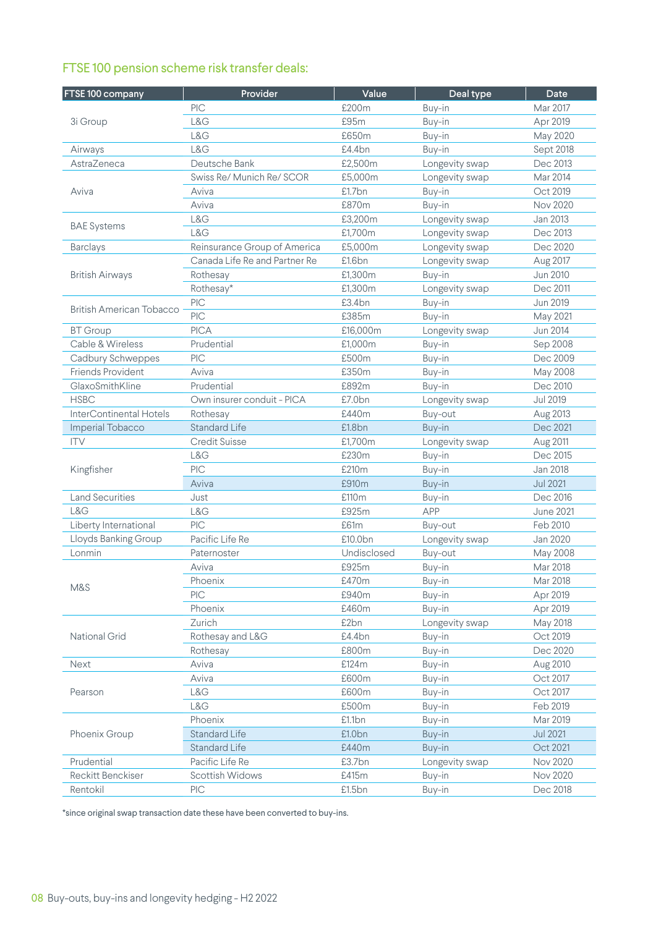## FTSE 100 pension scheme risk transfer deals:

| FTSE 100 company                | Provider                      | Value       | Deal type      | Date             |
|---------------------------------|-------------------------------|-------------|----------------|------------------|
|                                 | PIC                           | £200m       | Buy-in         | Mar 2017         |
| 3i Group                        | L&G                           | £95m        | Buy-in         | Apr 2019         |
|                                 | L&G                           | £650m       | Buy-in         | May 2020         |
| Airways                         | L&G                           | £4.4bn      | Buy-in         | Sept 2018        |
| AstraZeneca                     | Deutsche Bank                 | £2,500m     | Longevity swap | Dec 2013         |
|                                 | Swiss Re/ Munich Re/ SCOR     | £5,000m     | Longevity swap | Mar 2014         |
| Aviva                           | Aviva                         | £1.7bn      | Buy-in         | Oct 2019         |
|                                 | Aviva                         | £870m       | Buy-in         | <b>Nov 2020</b>  |
|                                 | L&G                           | £3,200m     | Longevity swap | Jan 2013         |
| <b>BAE Systems</b>              | L&G                           | £1,700m     | Longevity swap | Dec 2013         |
| <b>Barclays</b>                 | Reinsurance Group of America  | £5,000m     | Longevity swap | Dec 2020         |
|                                 | Canada Life Re and Partner Re | £1.6bn      | Longevity swap | Aug 2017         |
| <b>British Airways</b>          | Rothesay                      | £1,300m     | Buy-in         | <b>Jun 2010</b>  |
|                                 | Rothesay*                     | £1,300m     | Longevity swap | Dec 2011         |
|                                 | PIC                           | £3.4bn      | Buy-in         | <b>Jun 2019</b>  |
| <b>British American Tobacco</b> | PIC                           | £385m       | Buy-in         | May 2021         |
| <b>BT</b> Group                 | <b>PICA</b>                   | £16,000m    | Longevity swap | <b>Jun 2014</b>  |
| Cable & Wireless                | Prudential                    | £1,000m     | Buy-in         | Sep 2008         |
| Cadbury Schweppes               | PIC                           | £500m       | Buy-in         | Dec 2009         |
| <b>Friends Provident</b>        | Aviva                         | £350m       | Buy-in         | May 2008         |
| GlaxoSmithKline                 | Prudential                    | £892m       | Buy-in         | Dec 2010         |
| <b>HSBC</b>                     | Own insurer conduit - PICA    | £7.0bn      | Longevity swap | <b>Jul 2019</b>  |
| InterContinental Hotels         | Rothesay                      | £440m       | Buy-out        | Aug 2013         |
| Imperial Tobacco                | <b>Standard Life</b>          | £1.8bn      | Buy-in         | Dec 2021         |
| <b>ITV</b>                      | <b>Credit Suisse</b>          | £1,700m     | Longevity swap | Aug 2011         |
| Kingfisher                      | L&G                           | £230m       | Buy-in         | Dec 2015         |
|                                 | PIC                           | £210m       | Buy-in         | <b>Jan 2018</b>  |
|                                 | Aviva                         | £910m       | Buy-in         | <b>Jul 2021</b>  |
| <b>Land Securities</b>          | Just                          | £110m       | Buy-in         | Dec 2016         |
| L&G                             | L&G                           | £925m       | <b>APP</b>     | <b>June 2021</b> |
| Liberty International           | PIC                           | £61m        | Buy-out        | Feb 2010         |
| Lloyds Banking Group            | Pacific Life Re               | £10.0bn     | Longevity swap | Jan 2020         |
| Lonmin                          | Paternoster                   | Undisclosed | Buy-out        | May 2008         |
|                                 | Aviva                         | £925m       | Buy-in         | Mar 2018         |
| M&S                             | Phoenix                       | £470m       | Buy-in         | Mar 2018         |
|                                 | PIC                           | £940m       | Buy-in         | Apr 2019         |
|                                 | Phoenix                       | £460m       | Buy-in         | Apr 2019         |
|                                 | Zurich                        | £2bn        | Longevity swap | May 2018         |
| National Grid                   | Rothesay and L&G              | £4.4bn      | Buy-in         | Oct 2019         |
|                                 | Rothesay                      | £800m       | Buy-in         | Dec 2020         |
| <b>Next</b>                     | Aviva                         | £124m       | Buy-in         | Aug 2010         |
| Pearson                         | Aviva                         | £600m       | Buy-in         | Oct 2017         |
|                                 | L&G                           | £600m       | Buy-in         | Oct 2017         |
|                                 | L&G                           | £500m       | Buy-in         | Feb 2019         |
|                                 | Phoenix                       | £1.1bn      | Buy-in         | Mar 2019         |
| Phoenix Group                   | <b>Standard Life</b>          | £1.0bn      | Buy-in         | <b>Jul 2021</b>  |
|                                 | <b>Standard Life</b>          | £440m       | Buy-in         | Oct 2021         |
| Prudential                      | Pacific Life Re               | £3.7bn      | Longevity swap | Nov 2020         |
| <b>Reckitt Benckiser</b>        | Scottish Widows               | £415m       | Buy-in         | <b>Nov 2020</b>  |
| Rentokil                        | PIC                           | £1.5bn      | Buy-in         | Dec 2018         |

\*since original swap transaction date these have been converted to buy-ins.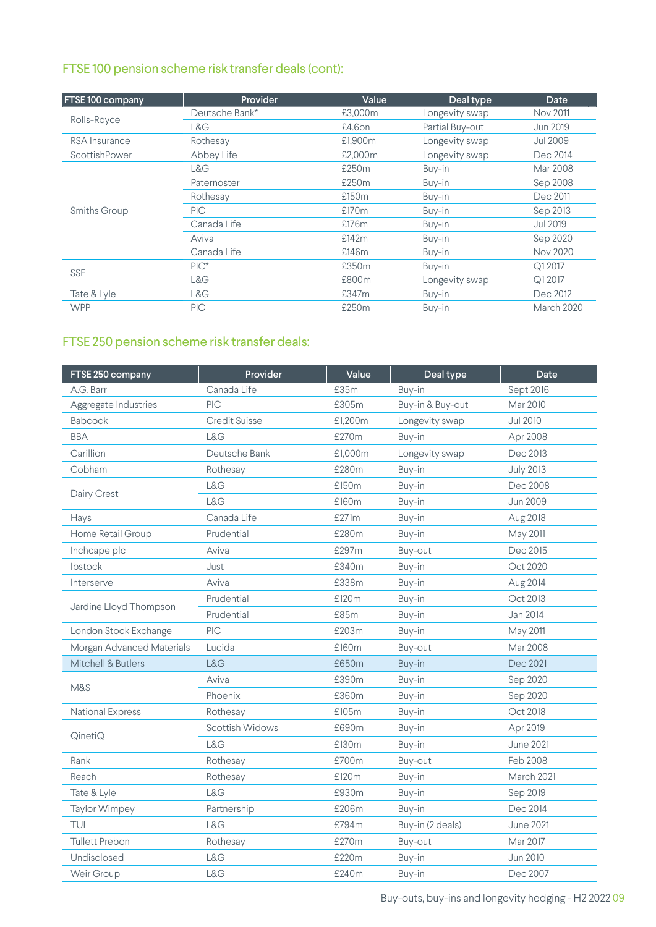## FTSE 100 pension scheme risk transfer deals (cont):

| <b>FTSE 100 company</b> | Provider       | Value             | Deal type       | Date              |
|-------------------------|----------------|-------------------|-----------------|-------------------|
|                         | Deutsche Bank* | £3.000m           | Longevity swap  | <b>Nov 2011</b>   |
| Rolls-Royce             | L&G            | £4.6bn            | Partial Buy-out | Jun 2019          |
| <b>RSA</b> Insurance    | Rothesay       | £1,900m           | Longevity swap  | Jul 2009          |
| ScottishPower           | Abbey Life     | £2,000m           | Longevity swap  | Dec 2014          |
|                         | L&G            | £250m             | Buy-in          | Mar 2008          |
|                         | Paternoster    | £250m             | Buy-in          | Sep 2008          |
| <b>Smiths Group</b>     | Rothesay       | £150m             | Buy-in          | Dec 2011          |
|                         | PIC.           | £170 <sub>m</sub> | Buy-in          | Sep 2013          |
|                         | Canada Life    | £176m             | Buy-in          | Jul 2019          |
|                         | Aviva          | £142m             | Buy-in          | Sep 2020          |
|                         | Canada Life    | £146m             | Buy-in          | <b>Nov 2020</b>   |
| <b>SSE</b>              | $PIC^*$        | £350m             | Buy-in          | Q1 2017           |
|                         | L&G            | £800m             | Longevity swap  | Q1 2017           |
| Tate & Lyle             | L&G            | £347m             | Buy-in          | Dec 2012          |
| <b>WPP</b>              | <b>PIC</b>     | £250m             | Buy-in          | <b>March 2020</b> |

## FTSE 250 pension scheme risk transfer deals:

| Canada Life<br>£35m<br>Sept 2016<br>A.G. Barr<br>Buy-in<br>PIC<br>£305m<br>Buy-in & Buy-out<br>Aggregate Industries<br>Mar 2010<br>Babcock<br><b>Credit Suisse</b><br>£1,200m<br>Longevity swap<br><b>Jul 2010</b><br>£270m<br><b>BBA</b><br>L&G<br>Buy-in<br>Apr 2008<br>Deutsche Bank<br>Carillion<br>£1,000m<br>Dec 2013<br>Longevity swap<br>Cobham<br>£280m<br>Rothesay<br>Buy-in<br><b>July 2013</b><br>L&G<br>£150m<br>Dec 2008<br>Buy-in<br>Dairy Crest<br>L&G<br>£160m<br>Buy-in<br><b>Jun 2009</b><br>Canada Life<br>£271m<br>Buy-in<br>Aug 2018<br>Hays<br>Prudential<br>£280m<br>Home Retail Group<br>Buy-in<br>May 2011<br>Inchcape plc<br>£297m<br>Aviva<br>Buy-out<br>Dec 2015<br>Ibstock<br>£340m<br>Just<br>Buy-in<br>Oct 2020<br>Aviva<br>£338m<br>Buy-in<br>Interserve<br>Aug 2014<br>Prudential<br>£120m<br>Buy-in<br>Oct 2013<br>Jardine Lloyd Thompson<br>Prudential<br>£85m<br>Buy-in<br>Jan 2014<br>PIC<br>London Stock Exchange<br>£203m<br>Buy-in<br>May 2011<br>£160m<br>Morgan Advanced Materials<br>Lucida<br>Mar 2008<br>Buy-out<br>Mitchell & Butlers<br>L&G<br>£650m<br>Dec 2021<br>Buy-in<br>Aviva<br>£390m<br>Sep 2020<br>Buy-in<br>M&S<br>£360m<br>Phoenix<br>Buy-in<br>Sep 2020<br><b>National Express</b><br>£105m<br>Rothesay<br>Buy-in<br>Oct 2018<br><b>Scottish Widows</b><br>£690m<br>Buy-in<br>Apr 2019<br>QinetiQ<br>L&G<br><b>June 2021</b><br>£130m<br>Buy-in<br>Rank<br>Rothesay<br>£700m<br>Feb 2008<br>Buy-out<br>Reach<br>£120m<br>March 2021<br>Rothesay<br>Buy-in<br>L&G<br>Tate & Lyle<br>£930m<br>Sep 2019<br>Buy-in<br>£206m<br><b>Taylor Wimpey</b><br>Partnership<br>Buy-in<br>Dec 2014 | FTSE 250 company | Provider | Value | Deal type        | Date             |
|--------------------------------------------------------------------------------------------------------------------------------------------------------------------------------------------------------------------------------------------------------------------------------------------------------------------------------------------------------------------------------------------------------------------------------------------------------------------------------------------------------------------------------------------------------------------------------------------------------------------------------------------------------------------------------------------------------------------------------------------------------------------------------------------------------------------------------------------------------------------------------------------------------------------------------------------------------------------------------------------------------------------------------------------------------------------------------------------------------------------------------------------------------------------------------------------------------------------------------------------------------------------------------------------------------------------------------------------------------------------------------------------------------------------------------------------------------------------------------------------------------------------------------------------------------------------------------------------------------------------------------------------------|------------------|----------|-------|------------------|------------------|
|                                                                                                                                                                                                                                                                                                                                                                                                                                                                                                                                                                                                                                                                                                                                                                                                                                                                                                                                                                                                                                                                                                                                                                                                                                                                                                                                                                                                                                                                                                                                                                                                                                                  |                  |          |       |                  |                  |
|                                                                                                                                                                                                                                                                                                                                                                                                                                                                                                                                                                                                                                                                                                                                                                                                                                                                                                                                                                                                                                                                                                                                                                                                                                                                                                                                                                                                                                                                                                                                                                                                                                                  |                  |          |       |                  |                  |
|                                                                                                                                                                                                                                                                                                                                                                                                                                                                                                                                                                                                                                                                                                                                                                                                                                                                                                                                                                                                                                                                                                                                                                                                                                                                                                                                                                                                                                                                                                                                                                                                                                                  |                  |          |       |                  |                  |
|                                                                                                                                                                                                                                                                                                                                                                                                                                                                                                                                                                                                                                                                                                                                                                                                                                                                                                                                                                                                                                                                                                                                                                                                                                                                                                                                                                                                                                                                                                                                                                                                                                                  |                  |          |       |                  |                  |
|                                                                                                                                                                                                                                                                                                                                                                                                                                                                                                                                                                                                                                                                                                                                                                                                                                                                                                                                                                                                                                                                                                                                                                                                                                                                                                                                                                                                                                                                                                                                                                                                                                                  |                  |          |       |                  |                  |
|                                                                                                                                                                                                                                                                                                                                                                                                                                                                                                                                                                                                                                                                                                                                                                                                                                                                                                                                                                                                                                                                                                                                                                                                                                                                                                                                                                                                                                                                                                                                                                                                                                                  |                  |          |       |                  |                  |
|                                                                                                                                                                                                                                                                                                                                                                                                                                                                                                                                                                                                                                                                                                                                                                                                                                                                                                                                                                                                                                                                                                                                                                                                                                                                                                                                                                                                                                                                                                                                                                                                                                                  |                  |          |       |                  |                  |
|                                                                                                                                                                                                                                                                                                                                                                                                                                                                                                                                                                                                                                                                                                                                                                                                                                                                                                                                                                                                                                                                                                                                                                                                                                                                                                                                                                                                                                                                                                                                                                                                                                                  |                  |          |       |                  |                  |
|                                                                                                                                                                                                                                                                                                                                                                                                                                                                                                                                                                                                                                                                                                                                                                                                                                                                                                                                                                                                                                                                                                                                                                                                                                                                                                                                                                                                                                                                                                                                                                                                                                                  |                  |          |       |                  |                  |
|                                                                                                                                                                                                                                                                                                                                                                                                                                                                                                                                                                                                                                                                                                                                                                                                                                                                                                                                                                                                                                                                                                                                                                                                                                                                                                                                                                                                                                                                                                                                                                                                                                                  |                  |          |       |                  |                  |
|                                                                                                                                                                                                                                                                                                                                                                                                                                                                                                                                                                                                                                                                                                                                                                                                                                                                                                                                                                                                                                                                                                                                                                                                                                                                                                                                                                                                                                                                                                                                                                                                                                                  |                  |          |       |                  |                  |
|                                                                                                                                                                                                                                                                                                                                                                                                                                                                                                                                                                                                                                                                                                                                                                                                                                                                                                                                                                                                                                                                                                                                                                                                                                                                                                                                                                                                                                                                                                                                                                                                                                                  |                  |          |       |                  |                  |
|                                                                                                                                                                                                                                                                                                                                                                                                                                                                                                                                                                                                                                                                                                                                                                                                                                                                                                                                                                                                                                                                                                                                                                                                                                                                                                                                                                                                                                                                                                                                                                                                                                                  |                  |          |       |                  |                  |
|                                                                                                                                                                                                                                                                                                                                                                                                                                                                                                                                                                                                                                                                                                                                                                                                                                                                                                                                                                                                                                                                                                                                                                                                                                                                                                                                                                                                                                                                                                                                                                                                                                                  |                  |          |       |                  |                  |
|                                                                                                                                                                                                                                                                                                                                                                                                                                                                                                                                                                                                                                                                                                                                                                                                                                                                                                                                                                                                                                                                                                                                                                                                                                                                                                                                                                                                                                                                                                                                                                                                                                                  |                  |          |       |                  |                  |
|                                                                                                                                                                                                                                                                                                                                                                                                                                                                                                                                                                                                                                                                                                                                                                                                                                                                                                                                                                                                                                                                                                                                                                                                                                                                                                                                                                                                                                                                                                                                                                                                                                                  |                  |          |       |                  |                  |
|                                                                                                                                                                                                                                                                                                                                                                                                                                                                                                                                                                                                                                                                                                                                                                                                                                                                                                                                                                                                                                                                                                                                                                                                                                                                                                                                                                                                                                                                                                                                                                                                                                                  |                  |          |       |                  |                  |
|                                                                                                                                                                                                                                                                                                                                                                                                                                                                                                                                                                                                                                                                                                                                                                                                                                                                                                                                                                                                                                                                                                                                                                                                                                                                                                                                                                                                                                                                                                                                                                                                                                                  |                  |          |       |                  |                  |
|                                                                                                                                                                                                                                                                                                                                                                                                                                                                                                                                                                                                                                                                                                                                                                                                                                                                                                                                                                                                                                                                                                                                                                                                                                                                                                                                                                                                                                                                                                                                                                                                                                                  |                  |          |       |                  |                  |
|                                                                                                                                                                                                                                                                                                                                                                                                                                                                                                                                                                                                                                                                                                                                                                                                                                                                                                                                                                                                                                                                                                                                                                                                                                                                                                                                                                                                                                                                                                                                                                                                                                                  |                  |          |       |                  |                  |
|                                                                                                                                                                                                                                                                                                                                                                                                                                                                                                                                                                                                                                                                                                                                                                                                                                                                                                                                                                                                                                                                                                                                                                                                                                                                                                                                                                                                                                                                                                                                                                                                                                                  |                  |          |       |                  |                  |
|                                                                                                                                                                                                                                                                                                                                                                                                                                                                                                                                                                                                                                                                                                                                                                                                                                                                                                                                                                                                                                                                                                                                                                                                                                                                                                                                                                                                                                                                                                                                                                                                                                                  |                  |          |       |                  |                  |
|                                                                                                                                                                                                                                                                                                                                                                                                                                                                                                                                                                                                                                                                                                                                                                                                                                                                                                                                                                                                                                                                                                                                                                                                                                                                                                                                                                                                                                                                                                                                                                                                                                                  |                  |          |       |                  |                  |
|                                                                                                                                                                                                                                                                                                                                                                                                                                                                                                                                                                                                                                                                                                                                                                                                                                                                                                                                                                                                                                                                                                                                                                                                                                                                                                                                                                                                                                                                                                                                                                                                                                                  |                  |          |       |                  |                  |
|                                                                                                                                                                                                                                                                                                                                                                                                                                                                                                                                                                                                                                                                                                                                                                                                                                                                                                                                                                                                                                                                                                                                                                                                                                                                                                                                                                                                                                                                                                                                                                                                                                                  |                  |          |       |                  |                  |
|                                                                                                                                                                                                                                                                                                                                                                                                                                                                                                                                                                                                                                                                                                                                                                                                                                                                                                                                                                                                                                                                                                                                                                                                                                                                                                                                                                                                                                                                                                                                                                                                                                                  |                  |          |       |                  |                  |
|                                                                                                                                                                                                                                                                                                                                                                                                                                                                                                                                                                                                                                                                                                                                                                                                                                                                                                                                                                                                                                                                                                                                                                                                                                                                                                                                                                                                                                                                                                                                                                                                                                                  |                  |          |       |                  |                  |
|                                                                                                                                                                                                                                                                                                                                                                                                                                                                                                                                                                                                                                                                                                                                                                                                                                                                                                                                                                                                                                                                                                                                                                                                                                                                                                                                                                                                                                                                                                                                                                                                                                                  | TUI              | L&G      | £794m | Buy-in (2 deals) | <b>June 2021</b> |
| <b>Tullett Prebon</b><br>£270m<br>Mar 2017<br>Rothesay<br>Buy-out                                                                                                                                                                                                                                                                                                                                                                                                                                                                                                                                                                                                                                                                                                                                                                                                                                                                                                                                                                                                                                                                                                                                                                                                                                                                                                                                                                                                                                                                                                                                                                                |                  |          |       |                  |                  |
| L&G<br>£220m<br>Undisclosed<br>Buy-in<br><b>Jun 2010</b>                                                                                                                                                                                                                                                                                                                                                                                                                                                                                                                                                                                                                                                                                                                                                                                                                                                                                                                                                                                                                                                                                                                                                                                                                                                                                                                                                                                                                                                                                                                                                                                         |                  |          |       |                  |                  |
| L&G<br>Weir Group<br>£240m<br>Buy-in<br>Dec 2007                                                                                                                                                                                                                                                                                                                                                                                                                                                                                                                                                                                                                                                                                                                                                                                                                                                                                                                                                                                                                                                                                                                                                                                                                                                                                                                                                                                                                                                                                                                                                                                                 |                  |          |       |                  |                  |